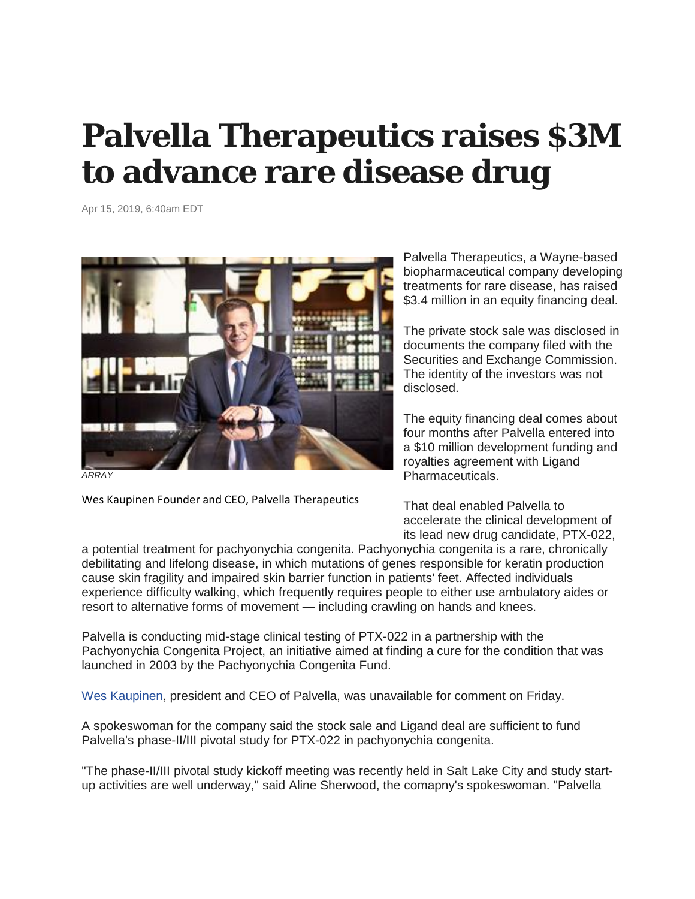## **Palvella Therapeutics raises \$3M to advance rare disease drug**

Apr 15, 2019, 6:40am EDT



*ARRAY*

Wes Kaupinen Founder and CEO, Palvella Therapeutics

Palvella Therapeutics, a Wayne-based biopharmaceutical company developing treatments for rare disease, has raised \$3.4 million in an equity financing deal.

The private stock sale was disclosed in documents the company filed with the Securities and Exchange Commission. The identity of the investors was not disclosed.

The equity financing deal comes about four months after Palvella entered into a \$10 million development funding and royalties agreement with Ligand Pharmaceuticals.

That deal enabled Palvella to accelerate the clinical development of its lead new drug candidate, PTX-022,

a potential treatment for pachyonychia congenita. Pachyonychia congenita is a rare, chronically debilitating and lifelong disease, in which mutations of genes responsible for keratin production cause skin fragility and impaired skin barrier function in patients' feet. Affected individuals experience difficulty walking, which frequently requires people to either use ambulatory aides or resort to alternative forms of movement — including crawling on hands and knees.

Palvella is conducting mid-stage clinical testing of PTX-022 in a partnership with the Pachyonychia Congenita Project, an initiative aimed at finding a cure for the condition that was launched in 2003 by the Pachyonychia Congenita Fund.

[Wes Kaupinen,](https://www.bizjournals.com/philadelphia/search/results?q=Wes%20Kaupinen) president and CEO of Palvella, was unavailable for comment on Friday.

A spokeswoman for the company said the stock sale and Ligand deal are sufficient to fund Palvella's phase-II/III pivotal study for PTX-022 in pachyonychia congenita.

"The phase-II/III pivotal study kickoff meeting was recently held in Salt Lake City and study startup activities are well underway," said Aline Sherwood, the comapny's spokeswoman. "Palvella